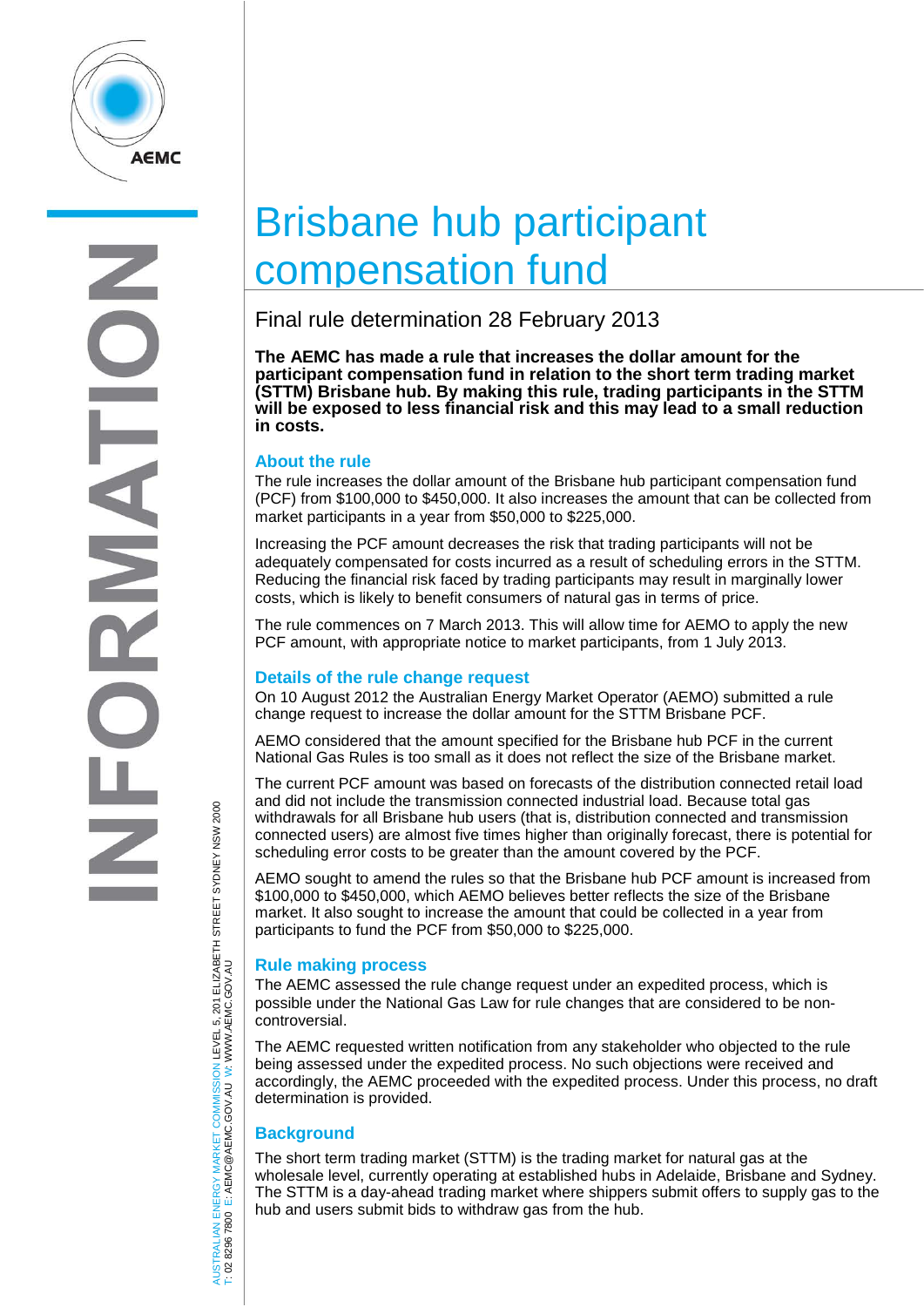

# Brisbane hub participant compensation fund

# Final rule determination 28 February 2013

**The AEMC has made a rule that increases the dollar amount for the participant compensation fund in relation to the short term trading market (STTM) Brisbane hub. By making this rule, trading participants in the STTM will be exposed to less financial risk and this may lead to a small reduction in costs.** 

### **About the rule**

The rule increases the dollar amount of the Brisbane hub participant compensation fund (PCF) from \$100,000 to \$450,000. It also increases the amount that can be collected from market participants in a year from \$50,000 to \$225,000.

Increasing the PCF amount decreases the risk that trading participants will not be adequately compensated for costs incurred as a result of scheduling errors in the STTM. Reducing the financial risk faced by trading participants may result in marginally lower costs, which is likely to benefit consumers of natural gas in terms of price.

The rule commences on 7 March 2013. This will allow time for AEMO to apply the new PCF amount, with appropriate notice to market participants, from 1 July 2013.

#### **Details of the rule change request**

On 10 August 2012 the Australian Energy Market Operator (AEMO) submitted a rule change request to increase the dollar amount for the STTM Brisbane PCF.

AEMO considered that the amount specified for the Brisbane hub PCF in the current National Gas Rules is too small as it does not reflect the size of the Brisbane market.

The current PCF amount was based on forecasts of the distribution connected retail load and did not include the transmission connected industrial load. Because total gas withdrawals for all Brisbane hub users (that is, distribution connected and transmission connected users) are almost five times higher than originally forecast, there is potential for scheduling error costs to be greater than the amount covered by the PCF.

AEMO sought to amend the rules so that the Brisbane hub PCF amount is increased from \$100,000 to \$450,000, which AEMO believes better reflects the size of the Brisbane market. It also sought to increase the amount that could be collected in a year from participants to fund the PCF from \$50,000 to \$225,000.

#### **Rule making process**

The AEMC assessed the rule change request under an expedited process, which is possible under the National Gas Law for rule changes that are considered to be noncontroversial.

The AEMC requested written notification from any stakeholder who objected to the rule being assessed under the expedited process. No such objections were received and accordingly, the AEMC proceeded with the expedited process. Under this process, no draft determination is provided.

## **Background**

The short term trading market (STTM) is the trading market for natural gas at the wholesale level, currently operating at established hubs in Adelaide, Brisbane and Sydney. The STTM is a day-ahead trading market where shippers submit offers to supply gas to the hub and users submit bids to withdraw gas from the hub.

AUSTRALIAN ENERGY MARKET COMMISSION LEVEL 5, 201 ELIZABETH STREET SYDNEY NSW 2000<br>T: 02 8296 7800 E: AEMC@AEMC.GOV.AU W: WWW.AEMC.GOV.AU AUSTRALIAN ENERGY MARKET COMMISSION LEVEL 5, 201 ELIZABETH STREET SYDNEY NSW 2000 W: WWW.AEMC.GOV.AU T: 02 8296 7800 E: AEMC@AEMC.GOV.AU